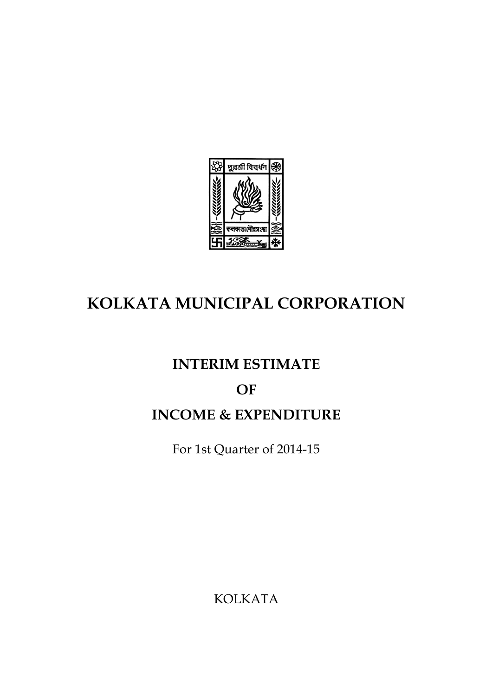

# **KOLKATA MUNICIPAL CORPORATION**

# **INTERIM ESTIMATE**

# **OF**

# **INCOME & EXPENDITURE**

For 1st Quarter of 2014-15

KOLKATA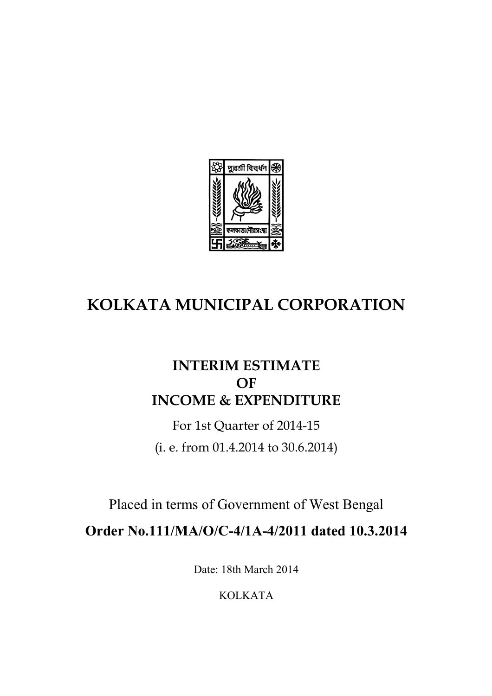

# **KOLKATA MUNICIPAL CORPORATION**

## **INTERIM ESTIMATE OF INCOME & EXPENDITURE**

For 1st Quarter of 2014-15 (i. e. from 01.4.2014 to 30.6.2014)

Placed in terms of Government of West Bengal

**Order No.111/MA/O/C-4/1A-4/2011 dated 10.3.2014**

Date: 18th March 2014

KOLKATA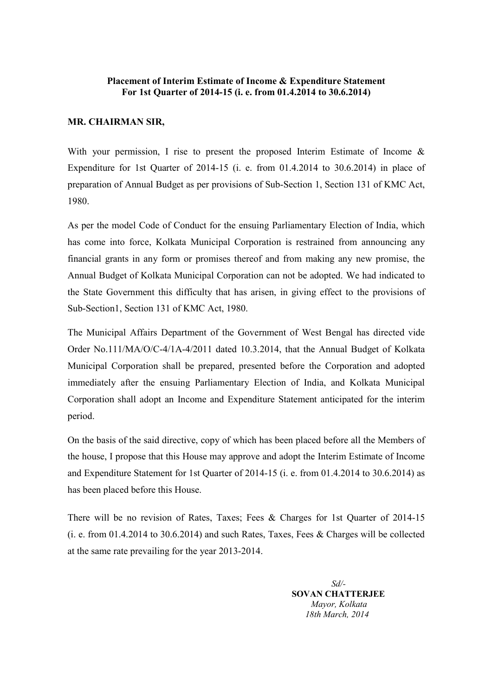#### **Placement of Interim Estimate of Income & Expenditure Statement For 1st Quarter of 2014-15 (i. e. from 01.4.2014 to 30.6.2014)**

#### **MR. CHAIRMAN SIR,**

With your permission. I rise to present the proposed Interim Estimate of Income  $\&$ Expenditure for 1st Quarter of 2014-15 (i. e. from 01.4.2014 to 30.6.2014) in place of preparation of Annual Budget as per provisions of Sub-Section 1, Section 131 of KMC Act, 1980.

As per the model Code of Conduct for the ensuing Parliamentary Election of India, which has come into force, Kolkata Municipal Corporation is restrained from announcing any financial grants in any form or promises thereof and from making any new promise, the Annual Budget of Kolkata Municipal Corporation can not be adopted. We had indicated to the State Government this difficulty that has arisen, in giving effect to the provisions of Sub-Section1, Section 131 of KMC Act, 1980.

The Municipal Affairs Department of the Government of West Bengal has directed vide Order No.111/MA/O/C-4/1A-4/2011 dated 10.3.2014, that the Annual Budget of Kolkata Municipal Corporation shall be prepared, presented before the Corporation and adopted immediately after the ensuing Parliamentary Election of India, and Kolkata Municipal Corporation shall adopt an Income and Expenditure Statement anticipated for the interim period.

On the basis of the said directive, copy of which has been placed before all the Members of the house, I propose that this House may approve and adopt the Interim Estimate of Income and Expenditure Statement for 1st Quarter of 2014-15 (i. e. from 01.4.2014 to 30.6.2014) as has been placed before this House.

There will be no revision of Rates, Taxes; Fees & Charges for 1st Quarter of 2014-15 (i. e. from 01.4.2014 to 30.6.2014) and such Rates, Taxes, Fees & Charges will be collected at the same rate prevailing for the year 2013-2014.

> *Sd/-* **SOVAN CHATTERJEE** *Mayor, Kolkata 18th March, 2014*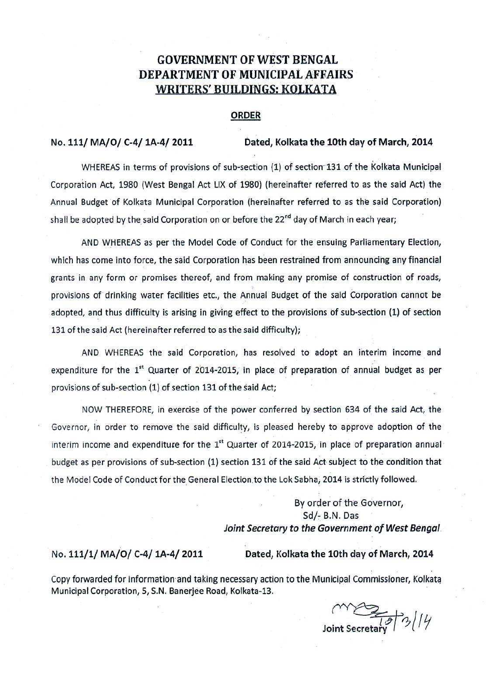### **GOVERNMENT OF WEST BENGAL** DEPARTMENT OF MUNICIPAL AFFAIRS WRITERS' BUILDINGS: KOLKATA

#### **ORDER**

#### No. 111/ MA/O/ C-4/ 1A-4/ 2011

#### Dated. Kolkata the 10th day of March. 2014

WHEREAS in terms of provisions of sub-section (1) of section 131 of the Kolkata Municipal Corporation Act, 1980 (West Bengal Act LIX of 1980) (hereinafter referred to as the said Act) the Annual Budget of Kolkata Municipal Corporation (hereinafter referred to as the said Corporation) shall be adopted by the said Corporation on or before the 22<sup>nd</sup> day of March in each year;

AND WHEREAS as per the Model Code of Conduct for the ensuing Parliamentary Election, which has come into force, the said Corporation has been restrained from announcing any financial grants in any form or promises thereof, and from making any promise of construction of roads, provisions of drinking water facilities etc., the Annual Budget of the said Corporation cannot be adopted, and thus difficulty is arising in giving effect to the provisions of sub-section (1) of section 131 of the said Act (hereinafter referred to as the said difficulty);

AND WHEREAS the said Corporation, has resolved to adopt an interim income and expenditure for the  $1<sup>st</sup>$  Quarter of 2014-2015, in place of preparation of annual budget as per provisions of sub-section (1) of section 131 of the said Act;

NOW THEREFORE, in exercise of the power conferred by section 634 of the said Act, the Governor, in order to remove the said difficulty, is pleased hereby to approve adoption of the interim income and expenditure for the 1<sup>st</sup> Quarter of 2014-2015, in place of preparation annual budget as per provisions of sub-section (1) section 131 of the said Act subject to the condition that the Model Code of Conduct for the General Election to the Lok Sabha, 2014 is strictly followed.

> By order of the Governor, Sd/- B.N. Das Joint Secretary to the Government of West Bengal.

#### No. 111/1/ MA/O/ C-4/ 1A-4/ 2011

#### Dated, Kolkata the 10th day of March, 2014

Copy forwarded for information and taking necessary action to the Municipal Commissioner, Kolkata Municipal Corporation, 5, S.N. Banerjee Road, Kolkata-13.

Joint Secretary  $\frac{1}{2}$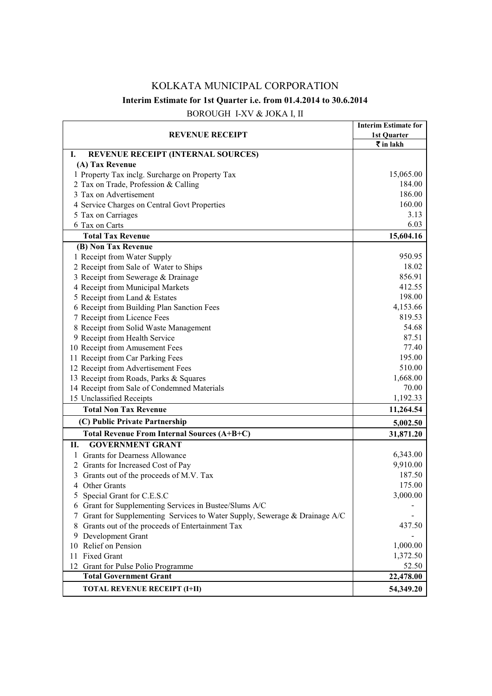## KOLKATA MUNICIPAL CORPORATION **Interim Estimate for 1st Quarter i.e. from 01.4.2014 to 30.6.2014**

| <b>REVENUE RECEIPT</b>                                                      | <b>Interim Estimate for</b>                     |
|-----------------------------------------------------------------------------|-------------------------------------------------|
|                                                                             | 1st Ouarter<br>$\bar{\bar{\mathbf{x}}}$ in lakh |
| <b>REVENUE RECEIPT (INTERNAL SOURCES)</b><br>Ι.                             |                                                 |
| (A) Tax Revenue                                                             |                                                 |
| 1 Property Tax inclg. Surcharge on Property Tax                             | 15,065.00                                       |
| 2 Tax on Trade, Profession & Calling                                        | 184.00                                          |
| 3 Tax on Advertisement                                                      | 186.00                                          |
| 4 Service Charges on Central Govt Properties                                | 160.00                                          |
| 5 Tax on Carriages                                                          | 3.13                                            |
| 6 Tax on Carts                                                              | 6.03                                            |
| <b>Total Tax Revenue</b>                                                    | 15,604.16                                       |
| (B) Non Tax Revenue                                                         |                                                 |
| 1 Receipt from Water Supply                                                 | 950.95                                          |
| 2 Receipt from Sale of Water to Ships                                       | 18.02                                           |
| 3 Receipt from Sewerage & Drainage                                          | 856.91                                          |
| 4 Receipt from Municipal Markets                                            | 412.55                                          |
| 5 Receipt from Land & Estates                                               | 198.00                                          |
| 6 Receipt from Building Plan Sanction Fees                                  | 4,153.66                                        |
| 7 Receipt from Licence Fees                                                 | 819.53                                          |
| 8 Receipt from Solid Waste Management                                       | 54.68                                           |
| 9 Receipt from Health Service                                               | 87.51                                           |
| 10 Receipt from Amusement Fees                                              | 77.40                                           |
| 11 Receipt from Car Parking Fees                                            | 195.00                                          |
| 12 Receipt from Advertisement Fees                                          | 510.00                                          |
| 13 Receipt from Roads, Parks & Squares                                      | 1,668.00                                        |
| 14 Receipt from Sale of Condemned Materials                                 | 70.00                                           |
| 15 Unclassified Receipts                                                    | 1,192.33                                        |
| <b>Total Non Tax Revenue</b>                                                | 11,264.54                                       |
| (C) Public Private Partnership                                              | 5,002.50                                        |
| Total Revenue From Internal Sources (A+B+C)                                 | 31,871.20                                       |
| <b>GOVERNMENT GRANT</b><br>Н.                                               |                                                 |
| 1 Grants for Dearness Allowance                                             | 6,343.00                                        |
| 2 Grants for Increased Cost of Pay                                          | 9,910.00                                        |
| 3 Grants out of the proceeds of M.V. Tax                                    | 187.50                                          |
| 4 Other Grants                                                              | 175.00                                          |
| Special Grant for C.E.S.C                                                   | 3,000.00                                        |
| 6 Grant for Supplementing Services in Bustee/Slums A/C                      |                                                 |
| 7 Grant for Supplementing Services to Water Supply, Sewerage & Drainage A/C |                                                 |
| 8 Grants out of the proceeds of Entertainment Tax                           | 437.50                                          |
| 9 Development Grant                                                         |                                                 |
| 10 Relief on Pension                                                        | 1,000.00                                        |
| 11 Fixed Grant                                                              | 1,372.50                                        |
| 12 Grant for Pulse Polio Programme                                          | 52.50                                           |
| <b>Total Government Grant</b>                                               | 22,478.00                                       |
| <b>TOTAL REVENUE RECEIPT (I+II)</b>                                         | 54,349.20                                       |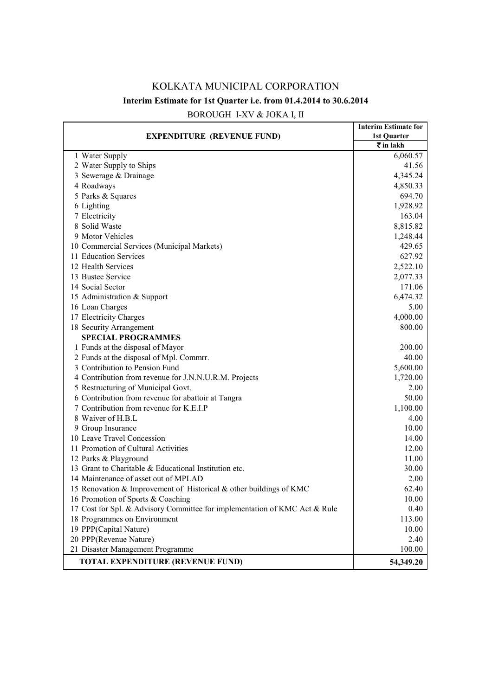### KOLKATA MUNICIPAL CORPORATION **Interim Estimate for 1st Quarter i.e. from 01.4.2014 to 30.6.2014**

| <b>EXPENDITURE (REVENUE FUND)</b>                                          | <b>Interim Estimate for</b>      |
|----------------------------------------------------------------------------|----------------------------------|
|                                                                            | 1st Quarter                      |
|                                                                            | $\bar{\bar{\mathbf{x}}}$ in lakh |
| 1 Water Supply                                                             | 6,060.57                         |
| 2 Water Supply to Ships                                                    | 41.56                            |
| 3 Sewerage & Drainage                                                      | 4,345.24                         |
| 4 Roadways                                                                 | 4,850.33                         |
| 5 Parks & Squares                                                          | 694.70                           |
| 6 Lighting                                                                 | 1,928.92                         |
| 7 Electricity                                                              | 163.04                           |
| 8 Solid Waste                                                              | 8,815.82                         |
| 9 Motor Vehicles                                                           | 1,248.44                         |
| 10 Commercial Services (Municipal Markets)                                 | 429.65                           |
| 11 Education Services                                                      | 627.92                           |
| 12 Health Services                                                         | 2,522.10                         |
| 13 Bustee Service                                                          | 2,077.33                         |
| 14 Social Sector                                                           | 171.06                           |
| 15 Administration & Support                                                | 6,474.32                         |
| 16 Loan Charges                                                            | 5.00                             |
| 17 Electricity Charges                                                     | 4,000.00                         |
| 18 Security Arrangement                                                    | 800.00                           |
| <b>SPECIAL PROGRAMMES</b>                                                  |                                  |
| 1 Funds at the disposal of Mayor                                           | 200.00                           |
| 2 Funds at the disposal of Mpl. Commrr.                                    | 40.00                            |
| 3 Contribution to Pension Fund                                             | 5,600.00                         |
| 4 Contribution from revenue for J.N.N.U.R.M. Projects                      | 1,720.00                         |
| 5 Restructuring of Municipal Govt.                                         | 2.00                             |
| 6 Contribution from revenue for abattoir at Tangra                         | 50.00                            |
| 7 Contribution from revenue for K.E.I.P                                    | 1,100.00                         |
| 8 Waiver of H.B.L                                                          | 4.00                             |
| 9 Group Insurance                                                          | 10.00                            |
| 10 Leave Travel Concession                                                 | 14.00                            |
| 11 Promotion of Cultural Activities                                        | 12.00                            |
| 12 Parks & Playground                                                      | 11.00                            |
| 13 Grant to Charitable & Educational Institution etc.                      | 30.00                            |
| 14 Maintenance of asset out of MPLAD                                       | 2.00                             |
| 15 Renovation & Improvement of Historical & other buildings of KMC         | 62.40                            |
| 16 Promotion of Sports & Coaching                                          | 10.00                            |
| 17 Cost for Spl. & Advisory Committee for implementation of KMC Act & Rule | 0.40                             |
| 18 Programmes on Environment                                               | 113.00                           |
| 19 PPP(Capital Nature)                                                     | 10.00                            |
| 20 PPP(Revenue Nature)                                                     | 2.40                             |
| 21 Disaster Management Programme                                           | 100.00                           |
| <b>TOTAL EXPENDITURE (REVENUE FUND)</b>                                    | 54,349.20                        |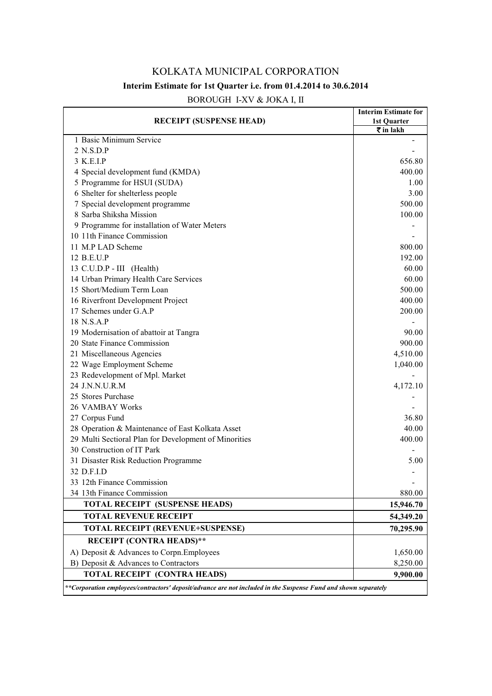### KOLKATA MUNICIPAL CORPORATION **Interim Estimate for 1st Quarter i.e. from 01.4.2014 to 30.6.2014**

| <b>RECEIPT (SUSPENSE HEAD)</b>                                                                                  | <b>Interim Estimate for</b> |
|-----------------------------------------------------------------------------------------------------------------|-----------------------------|
|                                                                                                                 | 1st Quarter                 |
| 1 Basic Minimum Service                                                                                         | ₹ in lakh                   |
| 2 N.S.D.P                                                                                                       |                             |
| 3 K.E.I.P                                                                                                       | 656.80                      |
| 4 Special development fund (KMDA)                                                                               | 400.00                      |
| 5 Programme for HSUI (SUDA)                                                                                     | 1.00                        |
| 6 Shelter for shelterless people                                                                                | 3.00                        |
| 7 Special development programme                                                                                 | 500.00                      |
| 8 Sarba Shiksha Mission                                                                                         |                             |
|                                                                                                                 | 100.00                      |
| 9 Programme for installation of Water Meters                                                                    |                             |
| 10 11th Finance Commission                                                                                      |                             |
| 11 M.P LAD Scheme                                                                                               | 800.00                      |
| 12 B.E.U.P                                                                                                      | 192.00                      |
| 13 C.U.D.P - III (Health)                                                                                       | 60.00                       |
| 14 Urban Primary Health Care Services                                                                           | 60.00                       |
| 15 Short/Medium Term Loan                                                                                       | 500.00                      |
| 16 Riverfront Development Project                                                                               | 400.00                      |
| 17 Schemes under G.A.P                                                                                          | 200.00                      |
| 18 N.S.A.P                                                                                                      |                             |
| 19 Modernisation of abattoir at Tangra                                                                          | 90.00                       |
| 20 State Finance Commission                                                                                     | 900.00                      |
| 21 Miscellaneous Agencies                                                                                       | 4,510.00                    |
| 22 Wage Employment Scheme                                                                                       | 1,040.00                    |
| 23 Redevelopment of Mpl. Market                                                                                 |                             |
| 24 J.N.N.U.R.M                                                                                                  | 4,172.10                    |
| 25 Stores Purchase                                                                                              |                             |
| 26 VAMBAY Works                                                                                                 |                             |
| 27 Corpus Fund                                                                                                  | 36.80                       |
| 28 Operation & Maintenance of East Kolkata Asset                                                                | 40.00                       |
| 29 Multi Sectioral Plan for Development of Minorities                                                           | 400.00                      |
| 30 Construction of IT Park                                                                                      |                             |
| 31 Disaster Risk Reduction Programme                                                                            | 5.00                        |
| 32 D.F.I.D                                                                                                      |                             |
| 33 12th Finance Commission                                                                                      |                             |
| 34 13th Finance Commission                                                                                      | 880.00                      |
| <b>TOTAL RECEIPT (SUSPENSE HEADS)</b>                                                                           | 15,946.70                   |
| <b>TOTAL REVENUE RECEIPT</b>                                                                                    | 54,349.20                   |
| <b>TOTAL RECEIPT (REVENUE+SUSPENSE)</b>                                                                         | 70,295.90                   |
| <b>RECEIPT (CONTRA HEADS)**</b>                                                                                 |                             |
| A) Deposit & Advances to Corpn. Employees                                                                       | 1,650.00                    |
| B) Deposit & Advances to Contractors                                                                            | 8,250.00                    |
| <b>TOTAL RECEIPT (CONTRA HEADS)</b>                                                                             | 9,900.00                    |
| **Corporation employees/contractors' deposit/advance are not included in the Suspense Fund and shown separately |                             |